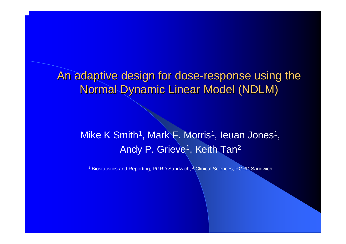An adaptive design for dose-response using the **Normal Dynamic Linear Model (NDLM)** 

### Mike K Smith<sup>1</sup>, Mark F. Morris<sup>1</sup>, Ieuan Jones<sup>1</sup>, Andy P. Grieve<sup>1</sup>, Keith Tan<sup>2</sup>

<sup>1</sup> Biostatistics and Reporting, PGRD Sandwich; <sup>2</sup> Clinical Sciences, PGRD Sandwich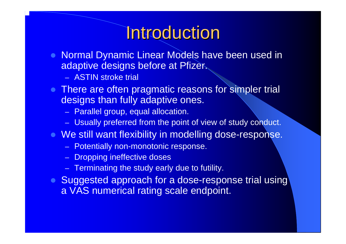# **Introduction**

- $\bullet$  Normal Dynamic Linear Models have been used in adaptive designs before at Pfizer.
	- ASTIN stroke trial
- There are often pragmatic reasons for simpler trial designs than fully adaptive ones.
	- –Parallel group, equal allocation.
	- Usually preferred from the point of view of study conduct.
- **We still want flexibility in modelling dose-response.** 
	- Potentially non-monotonic response.
	- Dropping ineffective doses
	- –Terminating the study early due to futility.
- Suggested approach for a dose-response trial using a VAS numerical rating scale endpoint.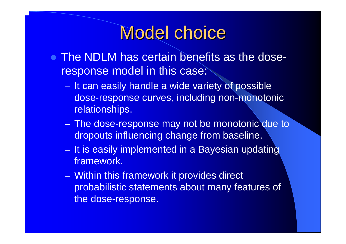# **Model choice**

- The NDLM has certain benefits as the doseresponse model in this case:
	- –- It can easily handle a wide variety of possible dose-response curves, including non-monotonic relationships.
	- **Links and State**  The dose-response may not be monotonic due to dropouts influencing change from baseline.
	- –– It is easily implemented in a Bayesian updating framework.
	- **Links and State**  Within this framework it provides direct probabilistic statements about many features of the dose-response.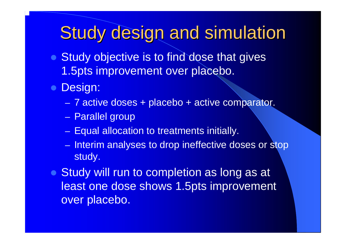# **Study design and simulation**

- $\bullet$  Study objective is to find dose that gives 1.5pts improvement over placebo.
- **Design:** 
	- **Links and State** 7 active doses + placebo + active comparator.
	- **Links and State** – Parallel group
	- **Links and State** – Equal allocation to treatments initially.
	- **Links and State** – Interim analyses to drop ineffective doses or stop study.
- Study will run to completion as long as at least one dose shows 1.5pts improvement over placebo.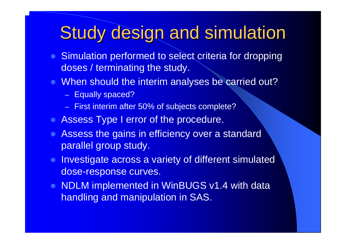# **Study design and simulation**

- Simulation performed to select criteria for dropping doses / terminating the study.
- When should the interim analyses be carried out?
	- Equally spaced?
	- –First interim after 50% of subjects complete?
- **Assess Type I error of the procedure.**
- Assess the gains in efficiency over a standard parallel group study.
- $\bullet$  Investigate across a variety of different simulated dose-response curves.
- NDLM implemented in WinBUGS v1.4 with data handling and manipulation in SAS.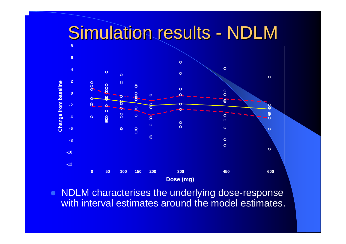#### **Simulation results** NDLM



 $\bullet$  NDLM characterises the underlying dose-response with interval estimates around the model estimates.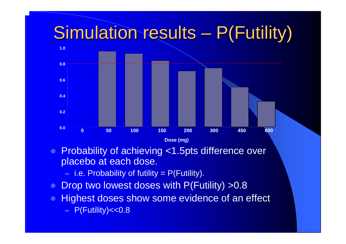

- $\bullet$  Probability of achieving <1.5pts difference over placebo at each dose.
	- i.e. Probability of futility = P(Futility).
- $\bullet$ Drop two lowest doses with P(Futility) > 0.8
- $\bullet$  Highest doses show some evidence of an effect P(Futility)<<0.8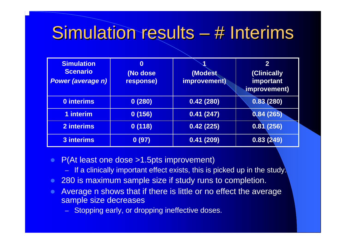### Simulation results -– # Interims

| <b>Simulation</b><br><b>Scenario</b><br><b>Power (average n)</b> | $\boldsymbol{0}$<br>(No dose<br>response) | (Modest<br>improvement) | $\overline{2}$<br>(Clinically<br>important<br>improvement) |
|------------------------------------------------------------------|-------------------------------------------|-------------------------|------------------------------------------------------------|
| <b>0 interims</b>                                                | 0(280)                                    | 0.42(280)               | 0.83(280)                                                  |
| 1 interim                                                        | 0(156)                                    | 0.41(247)               | 0.84(265)                                                  |
| 2 interims                                                       | 0(118)                                    | 0.42(225)               | 0.81(256)                                                  |
| 3 interims                                                       | 0(97)                                     | 0.41(209)               | $\overline{0.83(249)}$                                     |

- $\bullet$  P(At least one dose >1.5pts improvement)
	- If a clinically important effect exists, this is picked up in the study.
- $\bullet$ 280 is maximum sample size if study runs to completion.
- $\bullet$  Average n shows that if there is little or no effect the average sample size decreases
	- Stopping early, or dropping ineffective doses.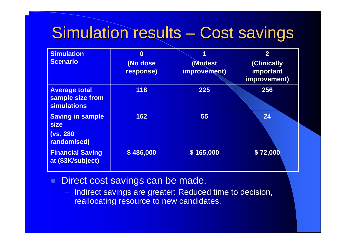#### **Simulation results** - Cost savings

| <b>Simulation</b><br><b>Scenario</b>                                      | $\bf{0}$<br>(No dose<br>response) | (Modest<br>improvement) | $\overline{2}$<br>(Clinically<br>important<br>improvement) |
|---------------------------------------------------------------------------|-----------------------------------|-------------------------|------------------------------------------------------------|
| <b>Average total</b><br>sample size from<br><b>simulations</b>            | 118                               | 225                     | 256                                                        |
| <b>Saving in sample</b><br><b>size</b><br><b>(vs. 280)</b><br>randomised) | 162                               | 55                      | 24                                                         |
| <b>Financial Saving</b><br>at (\$3K/subject)                              | \$486,000                         | \$165,000               | \$72,000                                                   |

- $\bullet$  Direct cost savings can be made.
	- –Indirect savings are greater: Reduced time to decision, reallocating resource to new candidates.